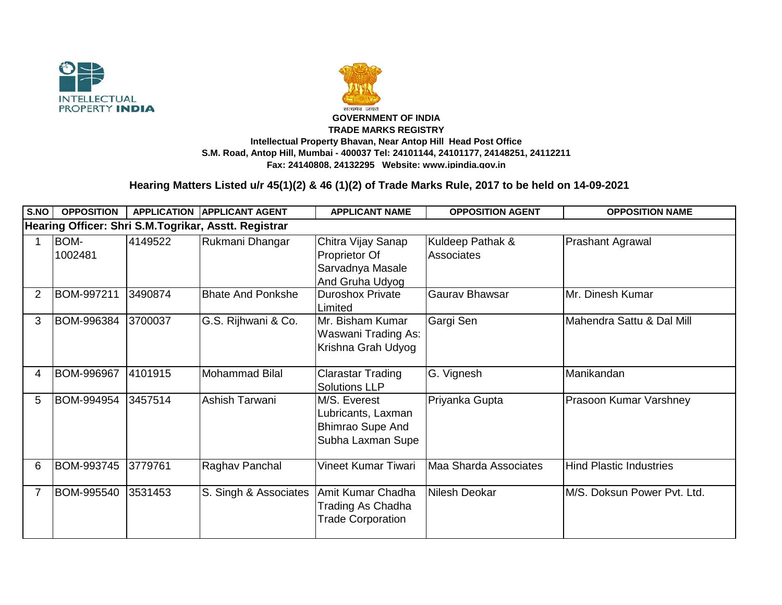



## **TRADE MARKS REGISTRY Intellectual Property Bhavan, Near Antop Hill Head Post Office S.M. Road, Antop Hill, Mumbai - 400037 Tel: 24101144, 24101177, 24148251, 24112211 Fax: 24140808, 24132295 Website: www.ipindia.gov.in**

## **Hearing Matters Listed u/r 45(1)(2) & 46 (1)(2) of Trade Marks Rule, 2017 to be held on 14-09-2021**

| S.NO                                                 | <b>OPPOSITION</b> |         | <b>APPLICATION APPLICANT AGENT</b> | <b>APPLICANT NAME</b>                                                              | <b>OPPOSITION AGENT</b>        | <b>OPPOSITION NAME</b>         |  |  |  |  |  |
|------------------------------------------------------|-------------------|---------|------------------------------------|------------------------------------------------------------------------------------|--------------------------------|--------------------------------|--|--|--|--|--|
| Hearing Officer: Shri S.M.Togrikar, Asstt. Registrar |                   |         |                                    |                                                                                    |                                |                                |  |  |  |  |  |
|                                                      | BOM-<br>1002481   | 4149522 | Rukmani Dhangar                    | Chitra Vijay Sanap<br>Proprietor Of<br>Sarvadnya Masale<br>And Gruha Udyog         | Kuldeep Pathak &<br>Associates | <b>Prashant Agrawal</b>        |  |  |  |  |  |
| 2                                                    | BOM-997211        | 3490874 | <b>Bhate And Ponkshe</b>           | <b>Duroshox Private</b><br>Limited                                                 | <b>Gaurav Bhawsar</b>          | Mr. Dinesh Kumar               |  |  |  |  |  |
| 3                                                    | BOM-996384        | 3700037 | G.S. Rijhwani & Co.                | Mr. Bisham Kumar<br>Waswani Trading As:<br>Krishna Grah Udyog                      | Gargi Sen                      | Mahendra Sattu & Dal Mill      |  |  |  |  |  |
| 4                                                    | BOM-996967        | 4101915 | <b>Mohammad Bilal</b>              | <b>Clarastar Trading</b><br><b>Solutions LLP</b>                                   | G. Vignesh                     | Manikandan                     |  |  |  |  |  |
| 5                                                    | BOM-994954        | 3457514 | Ashish Tarwani                     | M/S. Everest<br>Lubricants, Laxman<br><b>Bhimrao Supe And</b><br>Subha Laxman Supe | Priyanka Gupta                 | Prasoon Kumar Varshney         |  |  |  |  |  |
| 6                                                    | BOM-993745        | 3779761 | Raghav Panchal                     | Vineet Kumar Tiwari                                                                | Maa Sharda Associates          | <b>Hind Plastic Industries</b> |  |  |  |  |  |
|                                                      | BOM-995540        | 3531453 | S. Singh & Associates              | Amit Kumar Chadha<br>Trading As Chadha<br><b>Trade Corporation</b>                 | Nilesh Deokar                  | M/S. Doksun Power Pvt. Ltd.    |  |  |  |  |  |